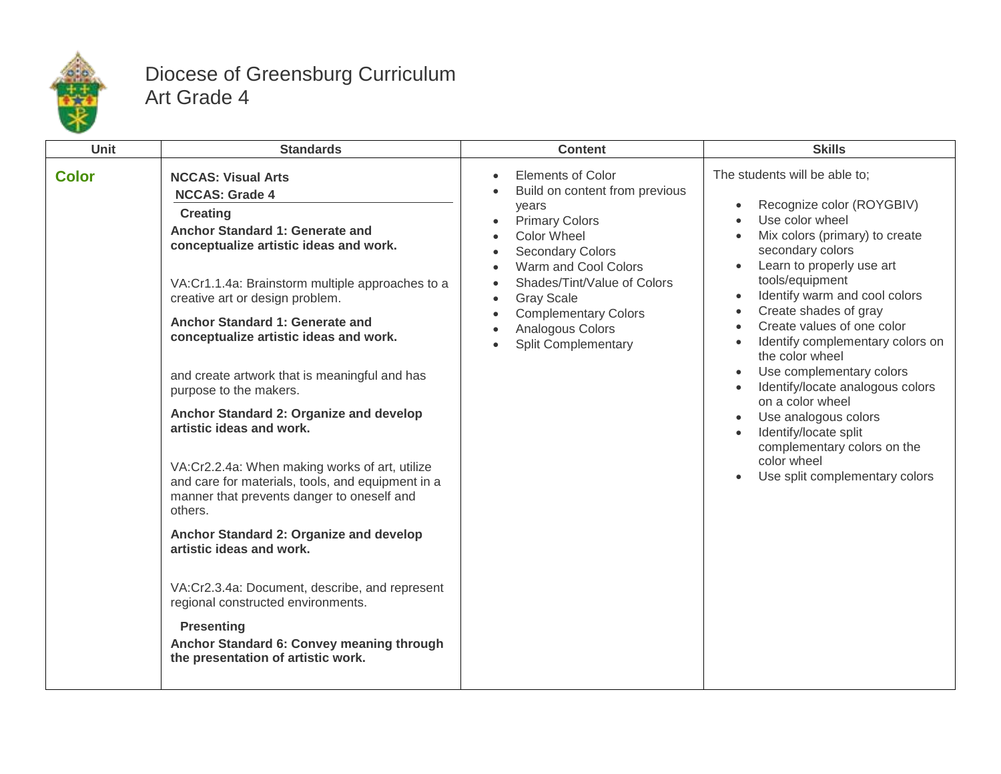

## Diocese of Greensburg Curriculum Art Grade 4

| Unit         | <b>Standards</b>                                                                                                                                                                                                                                                                                                                                                                                                                                                                                                                                                                                                                                                                                                                                                                                                                                                                                                | <b>Content</b>                                                                                                                                                                                                                                                                                                                | <b>Skills</b>                                                                                                                                                                                                                                                                                                                                                                                                                                                                                                                                                                     |
|--------------|-----------------------------------------------------------------------------------------------------------------------------------------------------------------------------------------------------------------------------------------------------------------------------------------------------------------------------------------------------------------------------------------------------------------------------------------------------------------------------------------------------------------------------------------------------------------------------------------------------------------------------------------------------------------------------------------------------------------------------------------------------------------------------------------------------------------------------------------------------------------------------------------------------------------|-------------------------------------------------------------------------------------------------------------------------------------------------------------------------------------------------------------------------------------------------------------------------------------------------------------------------------|-----------------------------------------------------------------------------------------------------------------------------------------------------------------------------------------------------------------------------------------------------------------------------------------------------------------------------------------------------------------------------------------------------------------------------------------------------------------------------------------------------------------------------------------------------------------------------------|
| <b>Color</b> | <b>NCCAS: Visual Arts</b><br><b>NCCAS: Grade 4</b><br><b>Creating</b><br>Anchor Standard 1: Generate and<br>conceptualize artistic ideas and work.<br>VA:Cr1.1.4a: Brainstorm multiple approaches to a<br>creative art or design problem.<br>Anchor Standard 1: Generate and<br>conceptualize artistic ideas and work.<br>and create artwork that is meaningful and has<br>purpose to the makers.<br>Anchor Standard 2: Organize and develop<br>artistic ideas and work.<br>VA:Cr2.2.4a: When making works of art, utilize<br>and care for materials, tools, and equipment in a<br>manner that prevents danger to oneself and<br>others.<br>Anchor Standard 2: Organize and develop<br>artistic ideas and work.<br>VA:Cr2.3.4a: Document, describe, and represent<br>regional constructed environments.<br><b>Presenting</b><br>Anchor Standard 6: Convey meaning through<br>the presentation of artistic work. | <b>Elements of Color</b><br>Build on content from previous<br>vears<br><b>Primary Colors</b><br>$\bullet$<br><b>Color Wheel</b><br><b>Secondary Colors</b><br>Warm and Cool Colors<br>Shades/Tint/Value of Colors<br><b>Gray Scale</b><br>$\bullet$<br><b>Complementary Colors</b><br>Analogous Colors<br>Split Complementary | The students will be able to;<br>Recognize color (ROYGBIV)<br>$\bullet$<br>Use color wheel<br>Mix colors (primary) to create<br>secondary colors<br>Learn to properly use art<br>tools/equipment<br>Identify warm and cool colors<br>Create shades of gray<br>$\bullet$<br>Create values of one color<br>Identify complementary colors on<br>the color wheel<br>Use complementary colors<br>Identify/locate analogous colors<br>on a color wheel<br>Use analogous colors<br>Identify/locate split<br>complementary colors on the<br>color wheel<br>Use split complementary colors |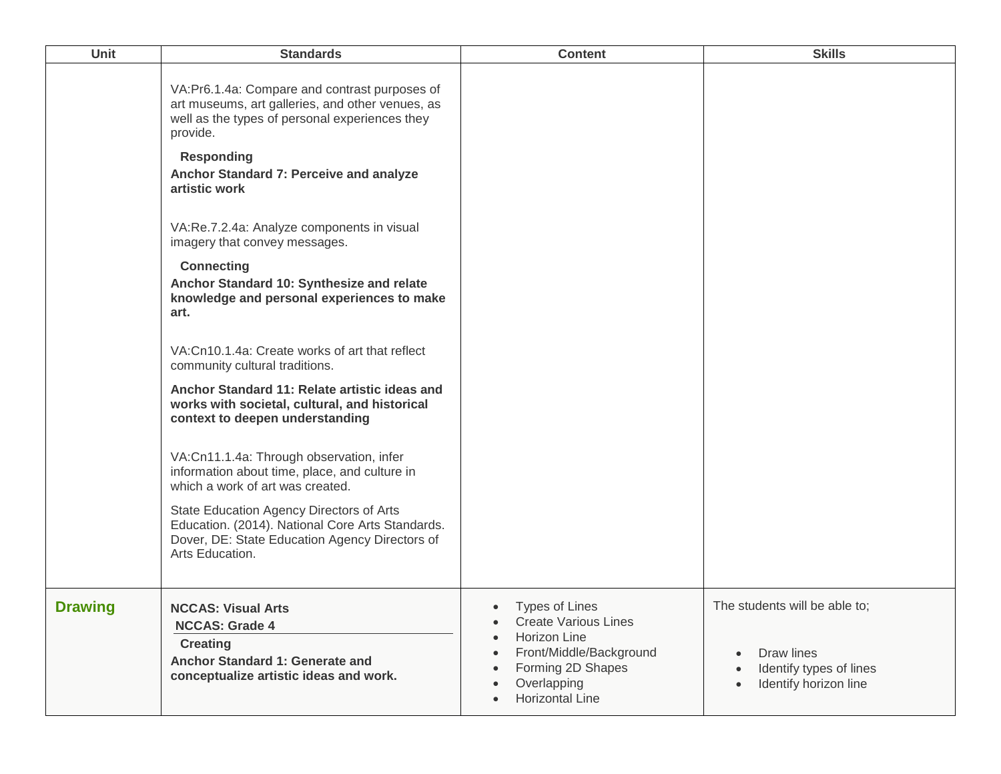| Unit           | <b>Standards</b>                                                                                                                                                                                                                                                                                                                                                                                                                                                                                                                                                                                                                                                                                                                                                                                                                                                                                                                                                                        | <b>Content</b>                                                                                                                                                                                        | <b>Skills</b>                                                                                   |
|----------------|-----------------------------------------------------------------------------------------------------------------------------------------------------------------------------------------------------------------------------------------------------------------------------------------------------------------------------------------------------------------------------------------------------------------------------------------------------------------------------------------------------------------------------------------------------------------------------------------------------------------------------------------------------------------------------------------------------------------------------------------------------------------------------------------------------------------------------------------------------------------------------------------------------------------------------------------------------------------------------------------|-------------------------------------------------------------------------------------------------------------------------------------------------------------------------------------------------------|-------------------------------------------------------------------------------------------------|
|                | VA:Pr6.1.4a: Compare and contrast purposes of<br>art museums, art galleries, and other venues, as<br>well as the types of personal experiences they<br>provide.<br><b>Responding</b><br>Anchor Standard 7: Perceive and analyze<br>artistic work<br>VA:Re.7.2.4a: Analyze components in visual<br>imagery that convey messages.<br><b>Connecting</b><br>Anchor Standard 10: Synthesize and relate<br>knowledge and personal experiences to make<br>art.<br>VA: Cn10.1.4a: Create works of art that reflect<br>community cultural traditions.<br>Anchor Standard 11: Relate artistic ideas and<br>works with societal, cultural, and historical<br>context to deepen understanding<br>VA:Cn11.1.4a: Through observation, infer<br>information about time, place, and culture in<br>which a work of art was created.<br>State Education Agency Directors of Arts<br>Education. (2014). National Core Arts Standards.<br>Dover, DE: State Education Agency Directors of<br>Arts Education. |                                                                                                                                                                                                       |                                                                                                 |
| <b>Drawing</b> | <b>NCCAS: Visual Arts</b><br><b>NCCAS: Grade 4</b><br><b>Creating</b><br>Anchor Standard 1: Generate and<br>conceptualize artistic ideas and work.                                                                                                                                                                                                                                                                                                                                                                                                                                                                                                                                                                                                                                                                                                                                                                                                                                      | • Types of Lines<br><b>Create Various Lines</b><br>$\bullet$<br>Horizon Line<br>$\bullet$<br>Front/Middle/Background<br>$\bullet$<br>Forming 2D Shapes<br>Overlapping<br>Horizontal Line<br>$\bullet$ | The students will be able to;<br>Draw lines<br>Identify types of lines<br>Identify horizon line |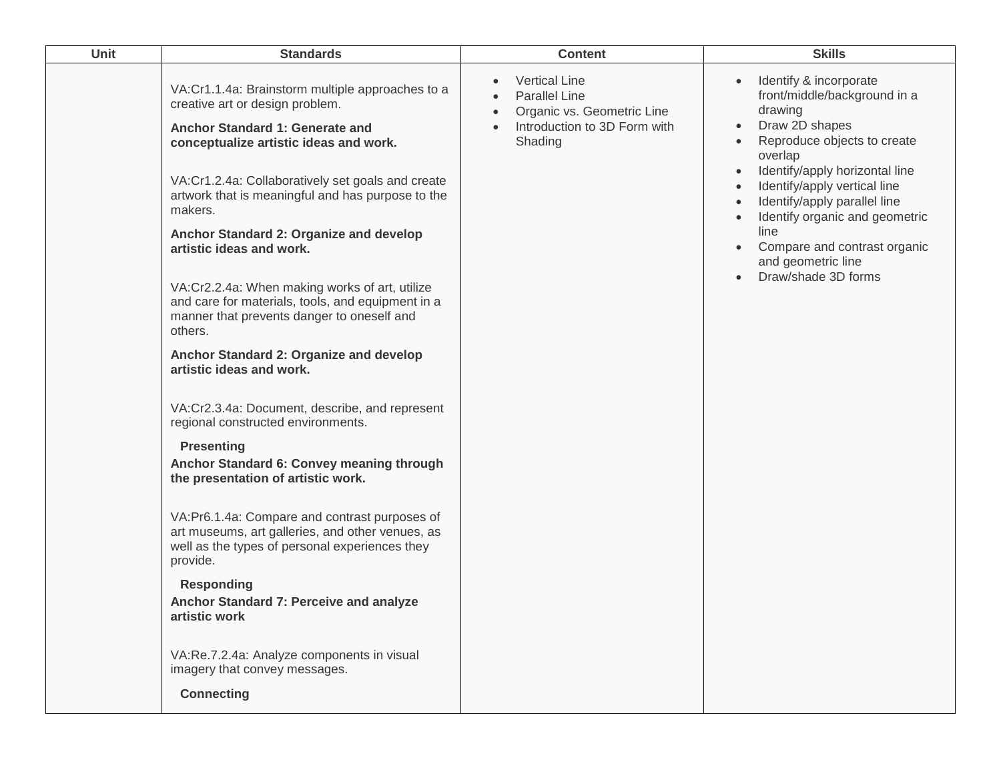| Unit | <b>Standards</b>                                                                                                                                                                                                                                                                                                                                                                                                                                                                                                                                                                                                                                                                                                                                                                                                                                                                                                                                                                                                                                                                                                                                            | <b>Content</b>                                                                                                                     | <b>Skills</b>                                                                                                                                                                                                                                                                                                                                                                    |
|------|-------------------------------------------------------------------------------------------------------------------------------------------------------------------------------------------------------------------------------------------------------------------------------------------------------------------------------------------------------------------------------------------------------------------------------------------------------------------------------------------------------------------------------------------------------------------------------------------------------------------------------------------------------------------------------------------------------------------------------------------------------------------------------------------------------------------------------------------------------------------------------------------------------------------------------------------------------------------------------------------------------------------------------------------------------------------------------------------------------------------------------------------------------------|------------------------------------------------------------------------------------------------------------------------------------|----------------------------------------------------------------------------------------------------------------------------------------------------------------------------------------------------------------------------------------------------------------------------------------------------------------------------------------------------------------------------------|
|      | VA:Cr1.1.4a: Brainstorm multiple approaches to a<br>creative art or design problem.<br>Anchor Standard 1: Generate and<br>conceptualize artistic ideas and work.<br>VA:Cr1.2.4a: Collaboratively set goals and create<br>artwork that is meaningful and has purpose to the<br>makers.<br>Anchor Standard 2: Organize and develop<br>artistic ideas and work.<br>VA:Cr2.2.4a: When making works of art, utilize<br>and care for materials, tools, and equipment in a<br>manner that prevents danger to oneself and<br>others.<br>Anchor Standard 2: Organize and develop<br>artistic ideas and work.<br>VA:Cr2.3.4a: Document, describe, and represent<br>regional constructed environments.<br><b>Presenting</b><br>Anchor Standard 6: Convey meaning through<br>the presentation of artistic work.<br>VA:Pr6.1.4a: Compare and contrast purposes of<br>art museums, art galleries, and other venues, as<br>well as the types of personal experiences they<br>provide.<br><b>Responding</b><br>Anchor Standard 7: Perceive and analyze<br>artistic work<br>VA:Re.7.2.4a: Analyze components in visual<br>imagery that convey messages.<br><b>Connecting</b> | <b>Vertical Line</b><br><b>Parallel Line</b><br>Organic vs. Geometric Line<br>$\bullet$<br>Introduction to 3D Form with<br>Shading | Identify & incorporate<br>front/middle/background in a<br>drawing<br>Draw 2D shapes<br>$\bullet$<br>Reproduce objects to create<br>overlap<br>Identify/apply horizontal line<br>$\bullet$<br>Identify/apply vertical line<br>Identify/apply parallel line<br>Identify organic and geometric<br>line<br>Compare and contrast organic<br>and geometric line<br>Draw/shade 3D forms |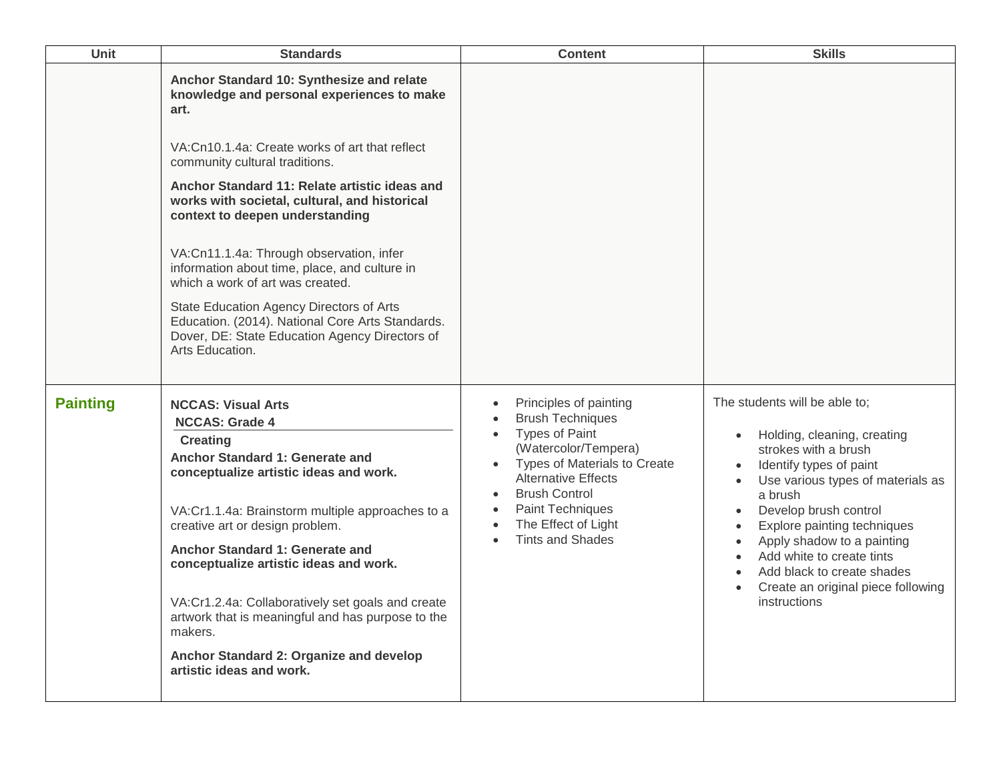| <b>Unit</b>     | <b>Standards</b>                                                                                                                                                                                                                                                                                                                                                                                                                                                                                                                                                                                                               | <b>Content</b>                                                                                                                                                                                                                                                                                                                                                                | <b>Skills</b>                                                                                                                                                                                                                                                                                                                                                                                                                           |
|-----------------|--------------------------------------------------------------------------------------------------------------------------------------------------------------------------------------------------------------------------------------------------------------------------------------------------------------------------------------------------------------------------------------------------------------------------------------------------------------------------------------------------------------------------------------------------------------------------------------------------------------------------------|-------------------------------------------------------------------------------------------------------------------------------------------------------------------------------------------------------------------------------------------------------------------------------------------------------------------------------------------------------------------------------|-----------------------------------------------------------------------------------------------------------------------------------------------------------------------------------------------------------------------------------------------------------------------------------------------------------------------------------------------------------------------------------------------------------------------------------------|
|                 | Anchor Standard 10: Synthesize and relate<br>knowledge and personal experiences to make<br>art.<br>VA:Cn10.1.4a: Create works of art that reflect<br>community cultural traditions.<br>Anchor Standard 11: Relate artistic ideas and<br>works with societal, cultural, and historical<br>context to deepen understanding<br>VA:Cn11.1.4a: Through observation, infer<br>information about time, place, and culture in<br>which a work of art was created.<br>State Education Agency Directors of Arts<br>Education. (2014). National Core Arts Standards.<br>Dover, DE: State Education Agency Directors of<br>Arts Education. |                                                                                                                                                                                                                                                                                                                                                                               |                                                                                                                                                                                                                                                                                                                                                                                                                                         |
| <b>Painting</b> | <b>NCCAS: Visual Arts</b><br><b>NCCAS: Grade 4</b><br><b>Creating</b><br>Anchor Standard 1: Generate and<br>conceptualize artistic ideas and work.<br>VA:Cr1.1.4a: Brainstorm multiple approaches to a<br>creative art or design problem.<br>Anchor Standard 1: Generate and<br>conceptualize artistic ideas and work.<br>VA:Cr1.2.4a: Collaboratively set goals and create<br>artwork that is meaningful and has purpose to the<br>makers.<br>Anchor Standard 2: Organize and develop<br>artistic ideas and work.                                                                                                             | Principles of painting<br>$\bullet$<br><b>Brush Techniques</b><br>$\bullet$<br><b>Types of Paint</b><br>$\bullet$<br>(Watercolor/Tempera)<br>Types of Materials to Create<br>$\bullet$<br><b>Alternative Effects</b><br><b>Brush Control</b><br>$\bullet$<br><b>Paint Techniques</b><br>$\bullet$<br>The Effect of Light<br>$\bullet$<br><b>Tints and Shades</b><br>$\bullet$ | The students will be able to;<br>Holding, cleaning, creating<br>strokes with a brush<br>Identify types of paint<br>Use various types of materials as<br>$\bullet$<br>a brush<br>Develop brush control<br>$\bullet$<br>Explore painting techniques<br>$\bullet$<br>Apply shadow to a painting<br>$\bullet$<br>Add white to create tints<br>Add black to create shades<br>Create an original piece following<br>$\bullet$<br>instructions |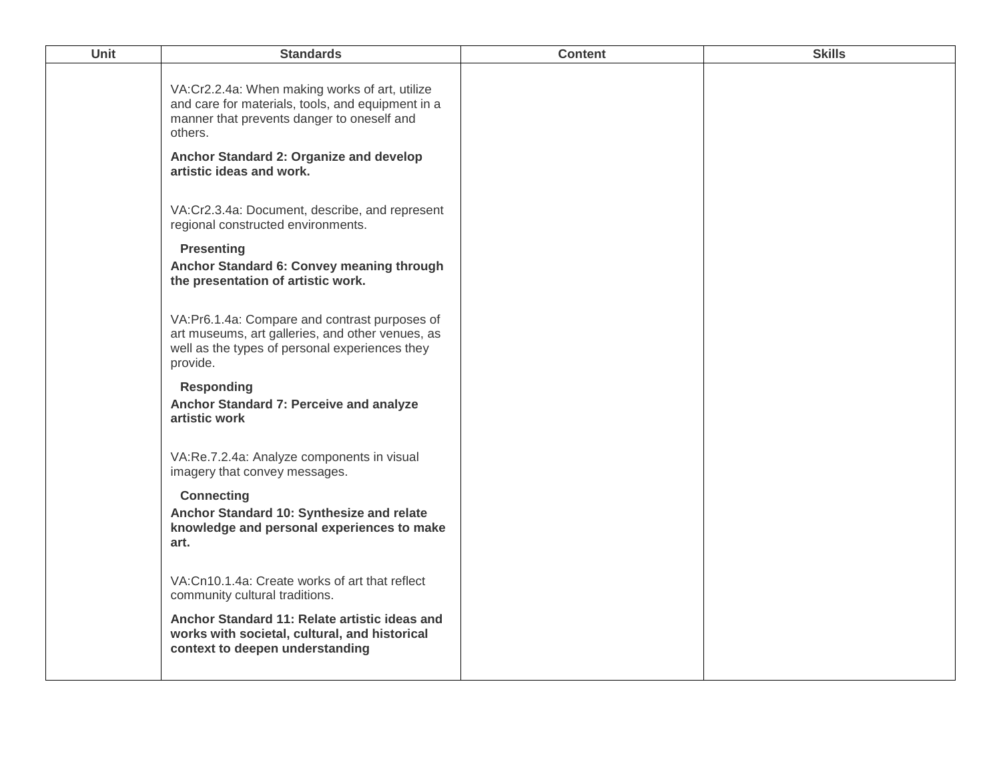| Unit | <b>Standards</b>                                                                                                                                                | <b>Content</b> | <b>Skills</b> |
|------|-----------------------------------------------------------------------------------------------------------------------------------------------------------------|----------------|---------------|
|      | VA:Cr2.2.4a: When making works of art, utilize<br>and care for materials, tools, and equipment in a<br>manner that prevents danger to oneself and<br>others.    |                |               |
|      | Anchor Standard 2: Organize and develop<br>artistic ideas and work.                                                                                             |                |               |
|      | VA:Cr2.3.4a: Document, describe, and represent<br>regional constructed environments.                                                                            |                |               |
|      | <b>Presenting</b><br>Anchor Standard 6: Convey meaning through<br>the presentation of artistic work.                                                            |                |               |
|      | VA:Pr6.1.4a: Compare and contrast purposes of<br>art museums, art galleries, and other venues, as<br>well as the types of personal experiences they<br>provide. |                |               |
|      | <b>Responding</b><br>Anchor Standard 7: Perceive and analyze<br>artistic work                                                                                   |                |               |
|      | VA:Re.7.2.4a: Analyze components in visual<br>imagery that convey messages.                                                                                     |                |               |
|      | <b>Connecting</b><br>Anchor Standard 10: Synthesize and relate<br>knowledge and personal experiences to make<br>art.                                            |                |               |
|      | VA: Cn10.1.4a: Create works of art that reflect<br>community cultural traditions.                                                                               |                |               |
|      | Anchor Standard 11: Relate artistic ideas and<br>works with societal, cultural, and historical<br>context to deepen understanding                               |                |               |
|      |                                                                                                                                                                 |                |               |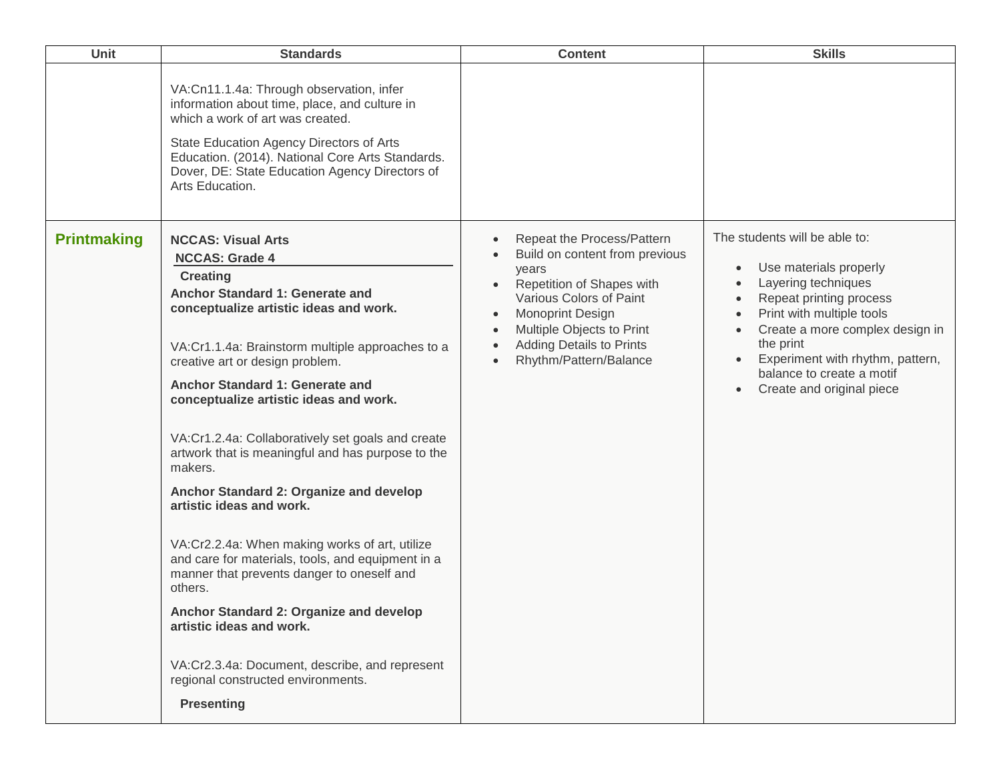| Unit               | <b>Standards</b>                                                                                                                                                                                                                                                                                                                                                                                                                                                                                                                                                                                                                                                                                                                                                                                                                                                       | <b>Content</b>                                                                                                                                                                                                                                                                                  | <b>Skills</b>                                                                                                                                                                                                                                                                                                                            |
|--------------------|------------------------------------------------------------------------------------------------------------------------------------------------------------------------------------------------------------------------------------------------------------------------------------------------------------------------------------------------------------------------------------------------------------------------------------------------------------------------------------------------------------------------------------------------------------------------------------------------------------------------------------------------------------------------------------------------------------------------------------------------------------------------------------------------------------------------------------------------------------------------|-------------------------------------------------------------------------------------------------------------------------------------------------------------------------------------------------------------------------------------------------------------------------------------------------|------------------------------------------------------------------------------------------------------------------------------------------------------------------------------------------------------------------------------------------------------------------------------------------------------------------------------------------|
|                    | VA:Cn11.1.4a: Through observation, infer<br>information about time, place, and culture in<br>which a work of art was created.<br>State Education Agency Directors of Arts<br>Education. (2014). National Core Arts Standards.<br>Dover, DE: State Education Agency Directors of<br>Arts Education.                                                                                                                                                                                                                                                                                                                                                                                                                                                                                                                                                                     |                                                                                                                                                                                                                                                                                                 |                                                                                                                                                                                                                                                                                                                                          |
| <b>Printmaking</b> | <b>NCCAS: Visual Arts</b><br><b>NCCAS: Grade 4</b><br><b>Creating</b><br>Anchor Standard 1: Generate and<br>conceptualize artistic ideas and work.<br>VA:Cr1.1.4a: Brainstorm multiple approaches to a<br>creative art or design problem.<br>Anchor Standard 1: Generate and<br>conceptualize artistic ideas and work.<br>VA:Cr1.2.4a: Collaboratively set goals and create<br>artwork that is meaningful and has purpose to the<br>makers.<br>Anchor Standard 2: Organize and develop<br>artistic ideas and work.<br>VA:Cr2.2.4a: When making works of art, utilize<br>and care for materials, tools, and equipment in a<br>manner that prevents danger to oneself and<br>others.<br>Anchor Standard 2: Organize and develop<br>artistic ideas and work.<br>VA:Cr2.3.4a: Document, describe, and represent<br>regional constructed environments.<br><b>Presenting</b> | Repeat the Process/Pattern<br>Build on content from previous<br>$\bullet$<br>years<br>Repetition of Shapes with<br>$\bullet$<br>Various Colors of Paint<br>Monoprint Design<br>Multiple Objects to Print<br>$\bullet$<br><b>Adding Details to Prints</b><br>Rhythm/Pattern/Balance<br>$\bullet$ | The students will be able to:<br>Use materials properly<br>Layering techniques<br>Repeat printing process<br>$\bullet$<br>Print with multiple tools<br>$\bullet$<br>Create a more complex design in<br>$\bullet$<br>the print<br>Experiment with rhythm, pattern,<br>$\bullet$<br>balance to create a motif<br>Create and original piece |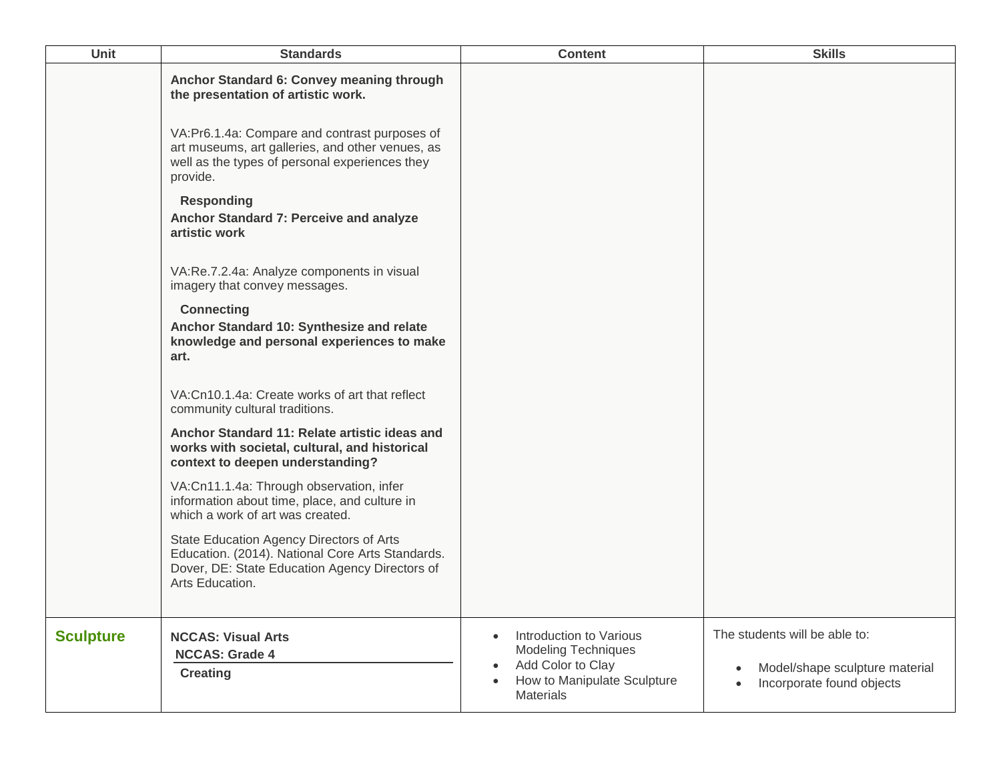| <b>Unit</b>      | <b>Standards</b>                                                                                                                                                  | <b>Content</b>                                                                                                                                          | <b>Skills</b>                                                                                             |
|------------------|-------------------------------------------------------------------------------------------------------------------------------------------------------------------|---------------------------------------------------------------------------------------------------------------------------------------------------------|-----------------------------------------------------------------------------------------------------------|
|                  | Anchor Standard 6: Convey meaning through<br>the presentation of artistic work.                                                                                   |                                                                                                                                                         |                                                                                                           |
|                  | VA:Pr6.1.4a: Compare and contrast purposes of<br>art museums, art galleries, and other venues, as<br>well as the types of personal experiences they<br>provide.   |                                                                                                                                                         |                                                                                                           |
|                  | <b>Responding</b><br>Anchor Standard 7: Perceive and analyze<br>artistic work                                                                                     |                                                                                                                                                         |                                                                                                           |
|                  | VA:Re.7.2.4a: Analyze components in visual<br>imagery that convey messages.                                                                                       |                                                                                                                                                         |                                                                                                           |
|                  | <b>Connecting</b><br>Anchor Standard 10: Synthesize and relate<br>knowledge and personal experiences to make<br>art.                                              |                                                                                                                                                         |                                                                                                           |
|                  | VA:Cn10.1.4a: Create works of art that reflect<br>community cultural traditions.                                                                                  |                                                                                                                                                         |                                                                                                           |
|                  | Anchor Standard 11: Relate artistic ideas and<br>works with societal, cultural, and historical<br>context to deepen understanding?                                |                                                                                                                                                         |                                                                                                           |
|                  | VA:Cn11.1.4a: Through observation, infer<br>information about time, place, and culture in<br>which a work of art was created.                                     |                                                                                                                                                         |                                                                                                           |
|                  | State Education Agency Directors of Arts<br>Education. (2014). National Core Arts Standards.<br>Dover, DE: State Education Agency Directors of<br>Arts Education. |                                                                                                                                                         |                                                                                                           |
| <b>Sculpture</b> | <b>NCCAS: Visual Arts</b><br><b>NCCAS: Grade 4</b><br><b>Creating</b>                                                                                             | Introduction to Various<br>$\bullet$<br><b>Modeling Techniques</b><br>Add Color to Clay<br>$\bullet$<br>How to Manipulate Sculpture<br><b>Materials</b> | The students will be able to:<br>Model/shape sculpture material<br>$\bullet$<br>Incorporate found objects |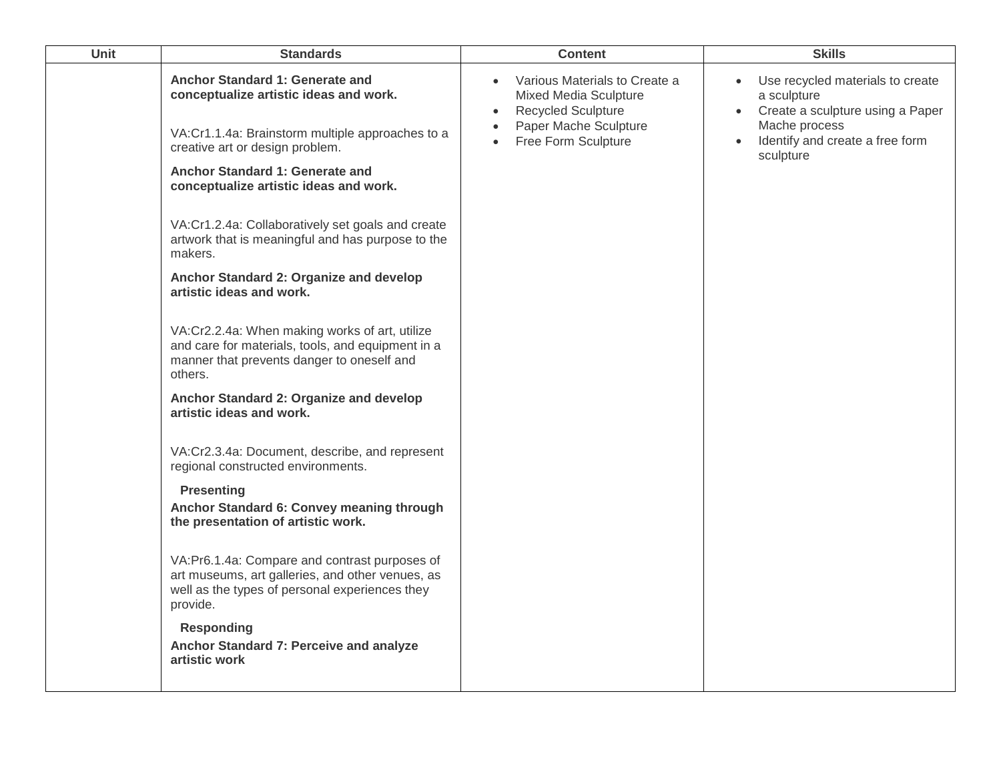| <b>Unit</b> | <b>Standards</b>                                                                                                                                                 | <b>Content</b>                                                                                                                                                             | <b>Skills</b>                                                                                                                                                       |
|-------------|------------------------------------------------------------------------------------------------------------------------------------------------------------------|----------------------------------------------------------------------------------------------------------------------------------------------------------------------------|---------------------------------------------------------------------------------------------------------------------------------------------------------------------|
|             | Anchor Standard 1: Generate and<br>conceptualize artistic ideas and work.<br>VA:Cr1.1.4a: Brainstorm multiple approaches to a<br>creative art or design problem. | Various Materials to Create a<br>Mixed Media Sculpture<br><b>Recycled Sculpture</b><br>$\bullet$<br>Paper Mache Sculpture<br>$\bullet$<br>Free Form Sculpture<br>$\bullet$ | Use recycled materials to create<br>a sculpture<br>• Create a sculpture using a Paper<br>Mache process<br>Identify and create a free form<br>$\bullet$<br>sculpture |
|             | Anchor Standard 1: Generate and<br>conceptualize artistic ideas and work.                                                                                        |                                                                                                                                                                            |                                                                                                                                                                     |
|             | VA:Cr1.2.4a: Collaboratively set goals and create<br>artwork that is meaningful and has purpose to the<br>makers.                                                |                                                                                                                                                                            |                                                                                                                                                                     |
|             | Anchor Standard 2: Organize and develop<br>artistic ideas and work.                                                                                              |                                                                                                                                                                            |                                                                                                                                                                     |
|             | VA:Cr2.2.4a: When making works of art, utilize<br>and care for materials, tools, and equipment in a<br>manner that prevents danger to oneself and<br>others.     |                                                                                                                                                                            |                                                                                                                                                                     |
|             | Anchor Standard 2: Organize and develop<br>artistic ideas and work.                                                                                              |                                                                                                                                                                            |                                                                                                                                                                     |
|             | VA:Cr2.3.4a: Document, describe, and represent<br>regional constructed environments.                                                                             |                                                                                                                                                                            |                                                                                                                                                                     |
|             | <b>Presenting</b><br>Anchor Standard 6: Convey meaning through<br>the presentation of artistic work.                                                             |                                                                                                                                                                            |                                                                                                                                                                     |
|             | VA:Pr6.1.4a: Compare and contrast purposes of<br>art museums, art galleries, and other venues, as<br>well as the types of personal experiences they<br>provide.  |                                                                                                                                                                            |                                                                                                                                                                     |
|             | <b>Responding</b><br>Anchor Standard 7: Perceive and analyze<br>artistic work                                                                                    |                                                                                                                                                                            |                                                                                                                                                                     |
|             |                                                                                                                                                                  |                                                                                                                                                                            |                                                                                                                                                                     |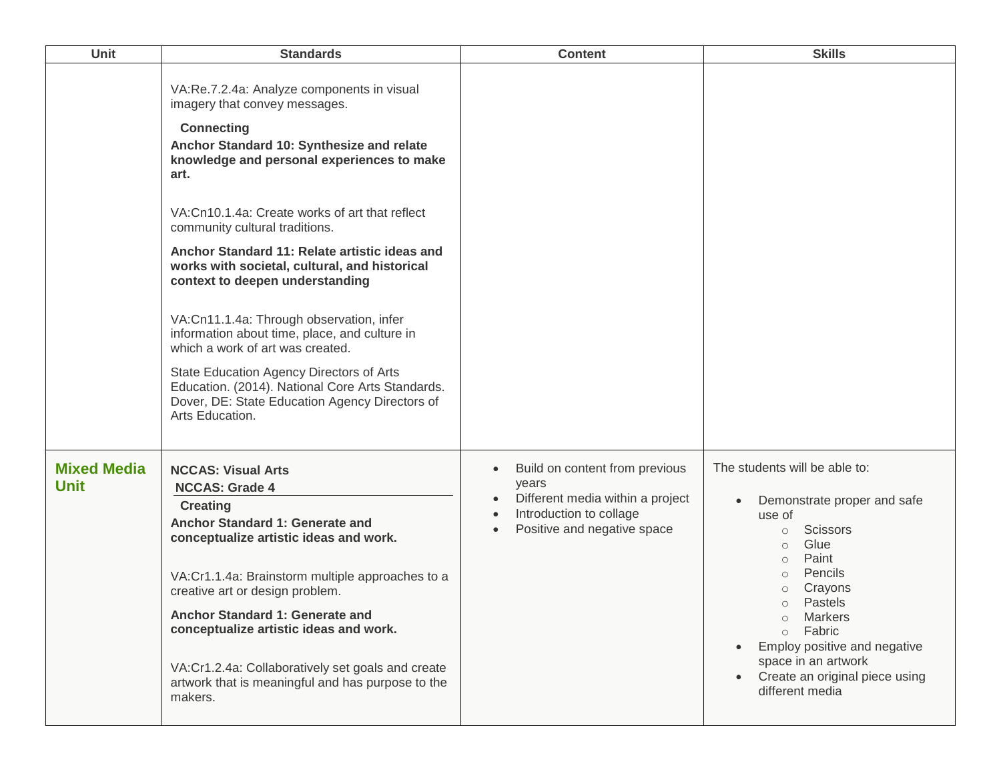| Unit                              | <b>Standards</b>                                                                                                                                                                                                                                                                                                                                                                                                                            | <b>Content</b>                                                                                                                                                                            | <b>Skills</b>                                                                                                                                                                                                                                                                                                                                                        |
|-----------------------------------|---------------------------------------------------------------------------------------------------------------------------------------------------------------------------------------------------------------------------------------------------------------------------------------------------------------------------------------------------------------------------------------------------------------------------------------------|-------------------------------------------------------------------------------------------------------------------------------------------------------------------------------------------|----------------------------------------------------------------------------------------------------------------------------------------------------------------------------------------------------------------------------------------------------------------------------------------------------------------------------------------------------------------------|
|                                   | VA:Re.7.2.4a: Analyze components in visual<br>imagery that convey messages.<br><b>Connecting</b><br>Anchor Standard 10: Synthesize and relate<br>knowledge and personal experiences to make<br>art.<br>VA:Cn10.1.4a: Create works of art that reflect                                                                                                                                                                                       |                                                                                                                                                                                           |                                                                                                                                                                                                                                                                                                                                                                      |
|                                   | community cultural traditions.<br>Anchor Standard 11: Relate artistic ideas and<br>works with societal, cultural, and historical<br>context to deepen understanding                                                                                                                                                                                                                                                                         |                                                                                                                                                                                           |                                                                                                                                                                                                                                                                                                                                                                      |
|                                   | VA:Cn11.1.4a: Through observation, infer<br>information about time, place, and culture in<br>which a work of art was created.                                                                                                                                                                                                                                                                                                               |                                                                                                                                                                                           |                                                                                                                                                                                                                                                                                                                                                                      |
|                                   | State Education Agency Directors of Arts<br>Education. (2014). National Core Arts Standards.<br>Dover, DE: State Education Agency Directors of<br>Arts Education.                                                                                                                                                                                                                                                                           |                                                                                                                                                                                           |                                                                                                                                                                                                                                                                                                                                                                      |
| <b>Mixed Media</b><br><b>Unit</b> | <b>NCCAS: Visual Arts</b><br><b>NCCAS: Grade 4</b><br><b>Creating</b><br>Anchor Standard 1: Generate and<br>conceptualize artistic ideas and work.<br>VA:Cr1.1.4a: Brainstorm multiple approaches to a<br>creative art or design problem.<br>Anchor Standard 1: Generate and<br>conceptualize artistic ideas and work.<br>VA:Cr1.2.4a: Collaboratively set goals and create<br>artwork that is meaningful and has purpose to the<br>makers. | Build on content from previous<br>$\bullet$<br>years<br>Different media within a project<br>$\bullet$<br>Introduction to collage<br>$\bullet$<br>Positive and negative space<br>$\bullet$ | The students will be able to:<br>Demonstrate proper and safe<br>use of<br><b>Scissors</b><br>$\circ$<br>Glue<br>$\circ$<br>Paint<br>$\circ$<br>Pencils<br>$\circ$<br>Crayons<br>$\circ$<br>Pastels<br>$\circ$<br>Markers<br>$\circ$<br>Fabric<br>$\circ$<br>Employ positive and negative<br>space in an artwork<br>Create an original piece using<br>different media |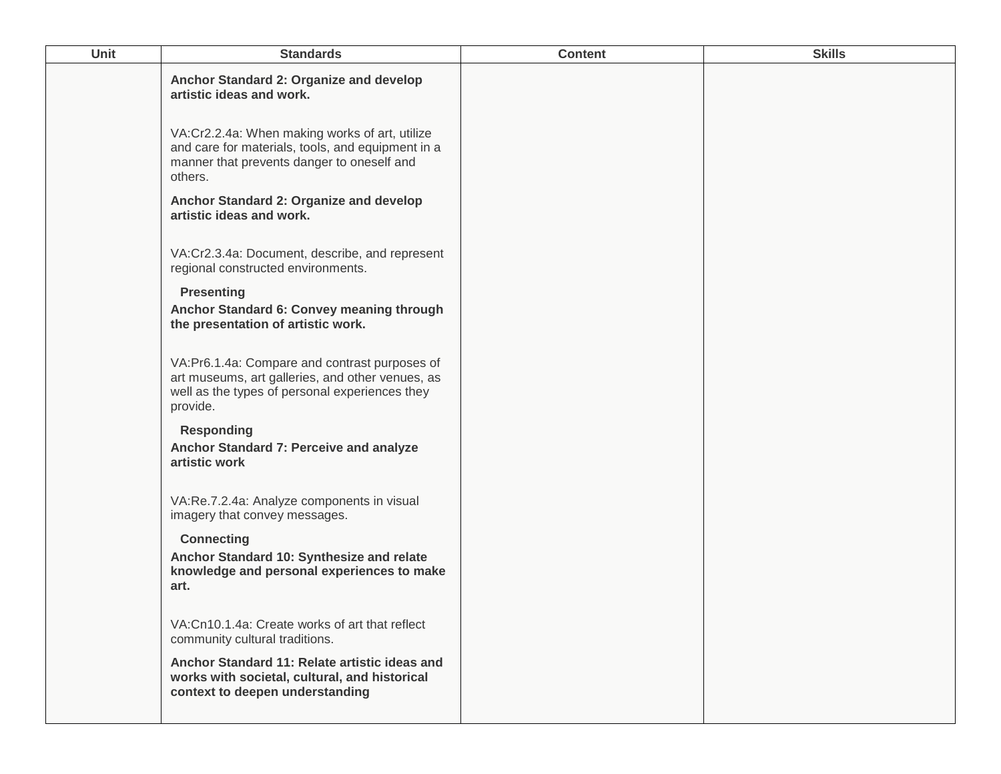| <b>Unit</b> | <b>Standards</b>                                                                                                                                                | <b>Content</b> | <b>Skills</b> |
|-------------|-----------------------------------------------------------------------------------------------------------------------------------------------------------------|----------------|---------------|
|             | Anchor Standard 2: Organize and develop<br>artistic ideas and work.                                                                                             |                |               |
|             | VA:Cr2.2.4a: When making works of art, utilize<br>and care for materials, tools, and equipment in a<br>manner that prevents danger to oneself and<br>others.    |                |               |
|             | Anchor Standard 2: Organize and develop<br>artistic ideas and work.                                                                                             |                |               |
|             | VA:Cr2.3.4a: Document, describe, and represent<br>regional constructed environments.                                                                            |                |               |
|             | <b>Presenting</b><br>Anchor Standard 6: Convey meaning through<br>the presentation of artistic work.                                                            |                |               |
|             | VA:Pr6.1.4a: Compare and contrast purposes of<br>art museums, art galleries, and other venues, as<br>well as the types of personal experiences they<br>provide. |                |               |
|             | <b>Responding</b><br>Anchor Standard 7: Perceive and analyze<br>artistic work                                                                                   |                |               |
|             | VA:Re.7.2.4a: Analyze components in visual<br>imagery that convey messages.                                                                                     |                |               |
|             | <b>Connecting</b><br>Anchor Standard 10: Synthesize and relate<br>knowledge and personal experiences to make<br>art.                                            |                |               |
|             | VA:Cn10.1.4a: Create works of art that reflect<br>community cultural traditions.                                                                                |                |               |
|             | Anchor Standard 11: Relate artistic ideas and<br>works with societal, cultural, and historical<br>context to deepen understanding                               |                |               |
|             |                                                                                                                                                                 |                |               |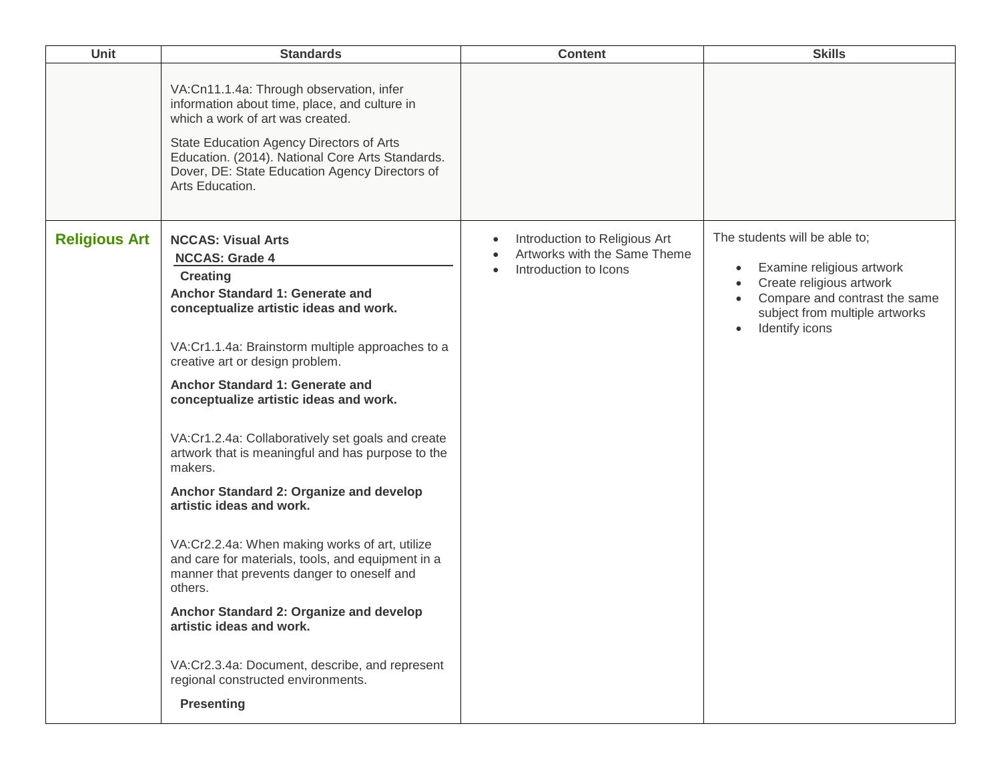| <b>Unit</b>          | <b>Standards</b>                                                                                                                                                                                                                                                                                                                                                                                                                                                                                                                                                                                                                                                                                                                                                                                                                                                       | <b>Content</b>                                                                                                                | <b>Skills</b>                                                                                                                                                                            |
|----------------------|------------------------------------------------------------------------------------------------------------------------------------------------------------------------------------------------------------------------------------------------------------------------------------------------------------------------------------------------------------------------------------------------------------------------------------------------------------------------------------------------------------------------------------------------------------------------------------------------------------------------------------------------------------------------------------------------------------------------------------------------------------------------------------------------------------------------------------------------------------------------|-------------------------------------------------------------------------------------------------------------------------------|------------------------------------------------------------------------------------------------------------------------------------------------------------------------------------------|
|                      | VA:Cn11.1.4a: Through observation, infer<br>information about time, place, and culture in<br>which a work of art was created.<br>State Education Agency Directors of Arts<br>Education. (2014). National Core Arts Standards.<br>Dover, DE: State Education Agency Directors of<br>Arts Education.                                                                                                                                                                                                                                                                                                                                                                                                                                                                                                                                                                     |                                                                                                                               |                                                                                                                                                                                          |
| <b>Religious Art</b> | <b>NCCAS: Visual Arts</b><br><b>NCCAS: Grade 4</b><br><b>Creating</b><br>Anchor Standard 1: Generate and<br>conceptualize artistic ideas and work.<br>VA:Cr1.1.4a: Brainstorm multiple approaches to a<br>creative art or design problem.<br>Anchor Standard 1: Generate and<br>conceptualize artistic ideas and work.<br>VA:Cr1.2.4a: Collaboratively set goals and create<br>artwork that is meaningful and has purpose to the<br>makers.<br>Anchor Standard 2: Organize and develop<br>artistic ideas and work.<br>VA:Cr2.2.4a: When making works of art, utilize<br>and care for materials, tools, and equipment in a<br>manner that prevents danger to oneself and<br>others.<br>Anchor Standard 2: Organize and develop<br>artistic ideas and work.<br>VA:Cr2.3.4a: Document, describe, and represent<br>regional constructed environments.<br><b>Presenting</b> | Introduction to Religious Art<br>$\bullet$<br>Artworks with the Same Theme<br>$\bullet$<br>Introduction to Icons<br>$\bullet$ | The students will be able to;<br>Examine religious artwork<br>$\bullet$<br>Create religious artwork<br>Compare and contrast the same<br>subject from multiple artworks<br>Identify icons |